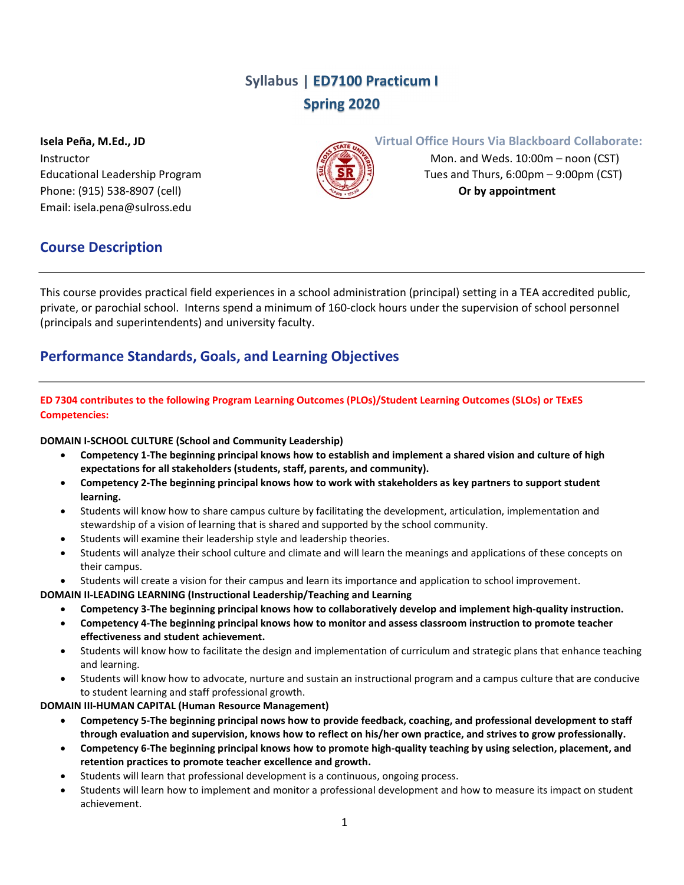# Syllabus | ED7100 Practicum I Spring 2020

Phone: (915) 538-8907 (cell) **Canadian Contract Contract Contract Contract Contract Contract Contract Contract Contract Contract Contract Contract Contract Contract Contract Contract Contract Contract Contract Contract Con** Email: isela.pena@sulross.edu



### Isela Peña, M.Ed., JD Virtual Office Hours Via Blackboard Collaborate:

Instructor  $\left(\sqrt{N}\right)^{1/2}$  Mon. and Weds. 10:00m – noon (CST) Educational Leadership Program  $R_{\text{max}}$   $R_{\text{max}}$  Tues and Thurs, 6:00pm – 9:00pm (CST)

## Course Description

This course provides practical field experiences in a school administration (principal) setting in a TEA accredited public, private, or parochial school. Interns spend a minimum of 160-clock hours under the supervision of school personnel (principals and superintendents) and university faculty.

## Performance Standards, Goals, and Learning Objectives

### ED 7304 contributes to the following Program Learning Outcomes (PLOs)/Student Learning Outcomes (SLOs) or TExES Competencies:

#### DOMAIN I-SCHOOL CULTURE (School and Community Leadership)

- Competency 1-The beginning principal knows how to establish and implement a shared vision and culture of high expectations for all stakeholders (students, staff, parents, and community).
- Competency 2-The beginning principal knows how to work with stakeholders as key partners to support student learning.
- Students will know how to share campus culture by facilitating the development, articulation, implementation and stewardship of a vision of learning that is shared and supported by the school community.
- Students will examine their leadership style and leadership theories.
- Students will analyze their school culture and climate and will learn the meanings and applications of these concepts on their campus.
- Students will create a vision for their campus and learn its importance and application to school improvement.

#### DOMAIN II-LEADING LEARNING (Instructional Leadership/Teaching and Learning

- Competency 3-The beginning principal knows how to collaboratively develop and implement high-quality instruction.
- Competency 4-The beginning principal knows how to monitor and assess classroom instruction to promote teacher effectiveness and student achievement.
- Students will know how to facilitate the design and implementation of curriculum and strategic plans that enhance teaching and learning.
- Students will know how to advocate, nurture and sustain an instructional program and a campus culture that are conducive to student learning and staff professional growth.

#### DOMAIN III-HUMAN CAPITAL (Human Resource Management)

- Competency 5-The beginning principal nows how to provide feedback, coaching, and professional development to staff through evaluation and supervision, knows how to reflect on his/her own practice, and strives to grow professionally.
- Competency 6-The beginning principal knows how to promote high-quality teaching by using selection, placement, and retention practices to promote teacher excellence and growth.
- Students will learn that professional development is a continuous, ongoing process.
- Students will learn how to implement and monitor a professional development and how to measure its impact on student achievement.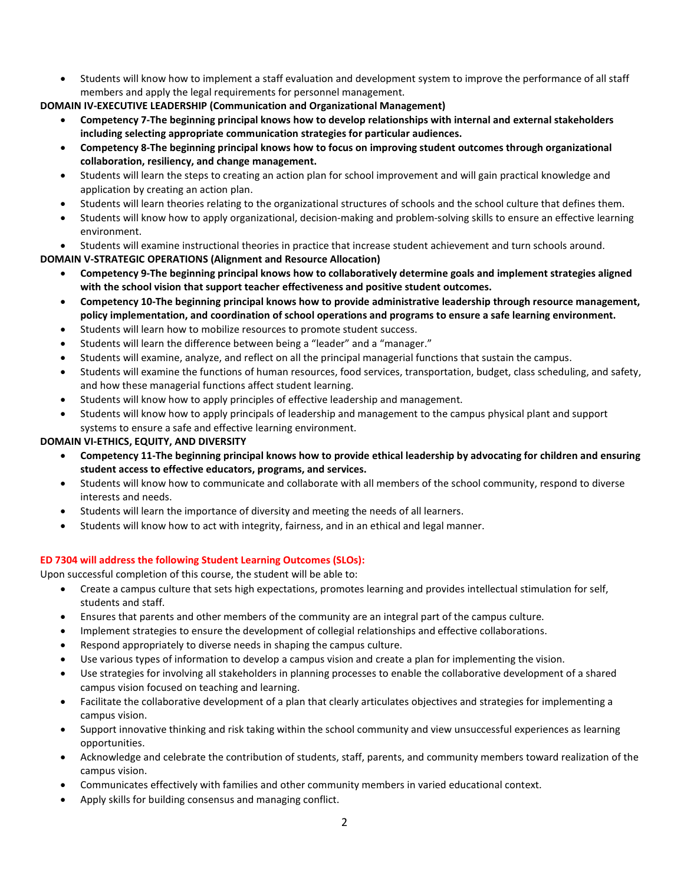Students will know how to implement a staff evaluation and development system to improve the performance of all staff members and apply the legal requirements for personnel management.

### DOMAIN IV-EXECUTIVE LEADERSHIP (Communication and Organizational Management)

- Competency 7-The beginning principal knows how to develop relationships with internal and external stakeholders including selecting appropriate communication strategies for particular audiences.
- Competency 8-The beginning principal knows how to focus on improving student outcomes through organizational collaboration, resiliency, and change management.
- Students will learn the steps to creating an action plan for school improvement and will gain practical knowledge and application by creating an action plan.
- Students will learn theories relating to the organizational structures of schools and the school culture that defines them.
- Students will know how to apply organizational, decision-making and problem-solving skills to ensure an effective learning environment.
- Students will examine instructional theories in practice that increase student achievement and turn schools around.

### DOMAIN V-STRATEGIC OPERATIONS (Alignment and Resource Allocation)

- Competency 9-The beginning principal knows how to collaboratively determine goals and implement strategies aligned with the school vision that support teacher effectiveness and positive student outcomes.
- Competency 10-The beginning principal knows how to provide administrative leadership through resource management, policy implementation, and coordination of school operations and programs to ensure a safe learning environment.
- Students will learn how to mobilize resources to promote student success.
- Students will learn the difference between being a "leader" and a "manager."
- Students will examine, analyze, and reflect on all the principal managerial functions that sustain the campus.
- Students will examine the functions of human resources, food services, transportation, budget, class scheduling, and safety, and how these managerial functions affect student learning.
- Students will know how to apply principles of effective leadership and management.
- Students will know how to apply principals of leadership and management to the campus physical plant and support systems to ensure a safe and effective learning environment.

#### DOMAIN VI-ETHICS, EQUITY, AND DIVERSITY

- Competency 11-The beginning principal knows how to provide ethical leadership by advocating for children and ensuring student access to effective educators, programs, and services.
- Students will know how to communicate and collaborate with all members of the school community, respond to diverse interests and needs.
- Students will learn the importance of diversity and meeting the needs of all learners.
- Students will know how to act with integrity, fairness, and in an ethical and legal manner.

### ED 7304 will address the following Student Learning Outcomes (SLOs):

Upon successful completion of this course, the student will be able to:

- Create a campus culture that sets high expectations, promotes learning and provides intellectual stimulation for self, students and staff.
- Ensures that parents and other members of the community are an integral part of the campus culture.
- Implement strategies to ensure the development of collegial relationships and effective collaborations.
- Respond appropriately to diverse needs in shaping the campus culture.
- Use various types of information to develop a campus vision and create a plan for implementing the vision.
- Use strategies for involving all stakeholders in planning processes to enable the collaborative development of a shared campus vision focused on teaching and learning.
- Facilitate the collaborative development of a plan that clearly articulates objectives and strategies for implementing a campus vision.
- Support innovative thinking and risk taking within the school community and view unsuccessful experiences as learning opportunities.
- Acknowledge and celebrate the contribution of students, staff, parents, and community members toward realization of the campus vision.
- Communicates effectively with families and other community members in varied educational context.
- Apply skills for building consensus and managing conflict.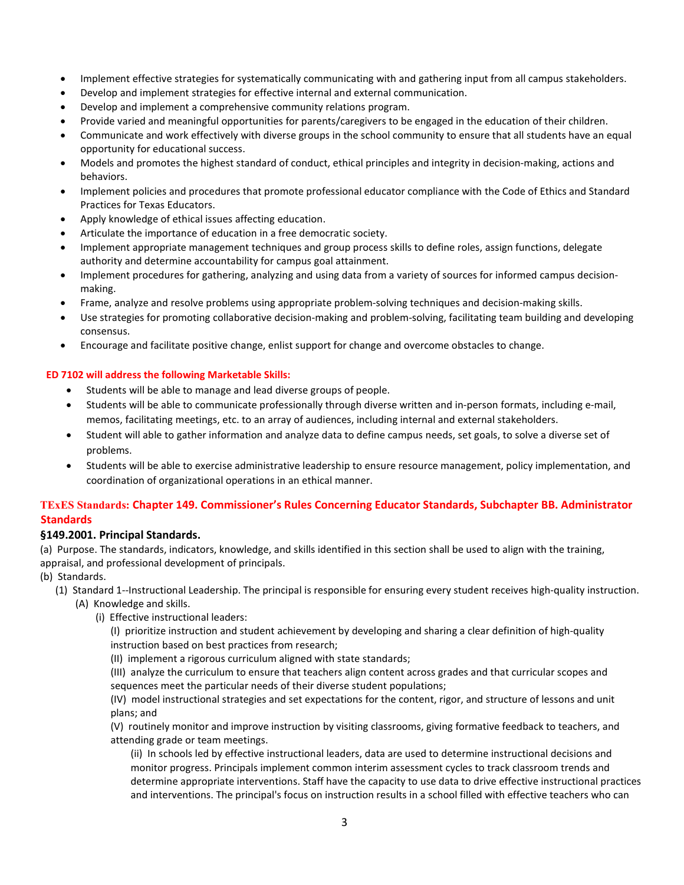- Implement effective strategies for systematically communicating with and gathering input from all campus stakeholders.
- Develop and implement strategies for effective internal and external communication.
- Develop and implement a comprehensive community relations program.
- Provide varied and meaningful opportunities for parents/caregivers to be engaged in the education of their children.
- Communicate and work effectively with diverse groups in the school community to ensure that all students have an equal opportunity for educational success.
- Models and promotes the highest standard of conduct, ethical principles and integrity in decision-making, actions and behaviors.
- Implement policies and procedures that promote professional educator compliance with the Code of Ethics and Standard Practices for Texas Educators.
- Apply knowledge of ethical issues affecting education.
- Articulate the importance of education in a free democratic society.
- Implement appropriate management techniques and group process skills to define roles, assign functions, delegate authority and determine accountability for campus goal attainment.
- Implement procedures for gathering, analyzing and using data from a variety of sources for informed campus decisionmaking.
- Frame, analyze and resolve problems using appropriate problem-solving techniques and decision-making skills.
- Use strategies for promoting collaborative decision-making and problem-solving, facilitating team building and developing consensus.
- Encourage and facilitate positive change, enlist support for change and overcome obstacles to change.

### ED 7102 will address the following Marketable Skills:

- Students will be able to manage and lead diverse groups of people.
- Students will be able to communicate professionally through diverse written and in-person formats, including e-mail, memos, facilitating meetings, etc. to an array of audiences, including internal and external stakeholders.
- Student will able to gather information and analyze data to define campus needs, set goals, to solve a diverse set of problems.
- Students will be able to exercise administrative leadership to ensure resource management, policy implementation, and coordination of organizational operations in an ethical manner.

### TExES Standards: Chapter 149. Commissioner's Rules Concerning Educator Standards, Subchapter BB. Administrator **Standards**

### §149.2001. Principal Standards.

(a) Purpose. The standards, indicators, knowledge, and skills identified in this section shall be used to align with the training, appraisal, and professional development of principals.

- (b) Standards.
	- (1) Standard 1--Instructional Leadership. The principal is responsible for ensuring every student receives high-quality instruction.
		- (A) Knowledge and skills.
			- (i) Effective instructional leaders:

(I) prioritize instruction and student achievement by developing and sharing a clear definition of high-quality instruction based on best practices from research;

(II) implement a rigorous curriculum aligned with state standards;

(III) analyze the curriculum to ensure that teachers align content across grades and that curricular scopes and sequences meet the particular needs of their diverse student populations;

(IV) model instructional strategies and set expectations for the content, rigor, and structure of lessons and unit plans; and

(V) routinely monitor and improve instruction by visiting classrooms, giving formative feedback to teachers, and attending grade or team meetings.

(ii) In schools led by effective instructional leaders, data are used to determine instructional decisions and monitor progress. Principals implement common interim assessment cycles to track classroom trends and determine appropriate interventions. Staff have the capacity to use data to drive effective instructional practices and interventions. The principal's focus on instruction results in a school filled with effective teachers who can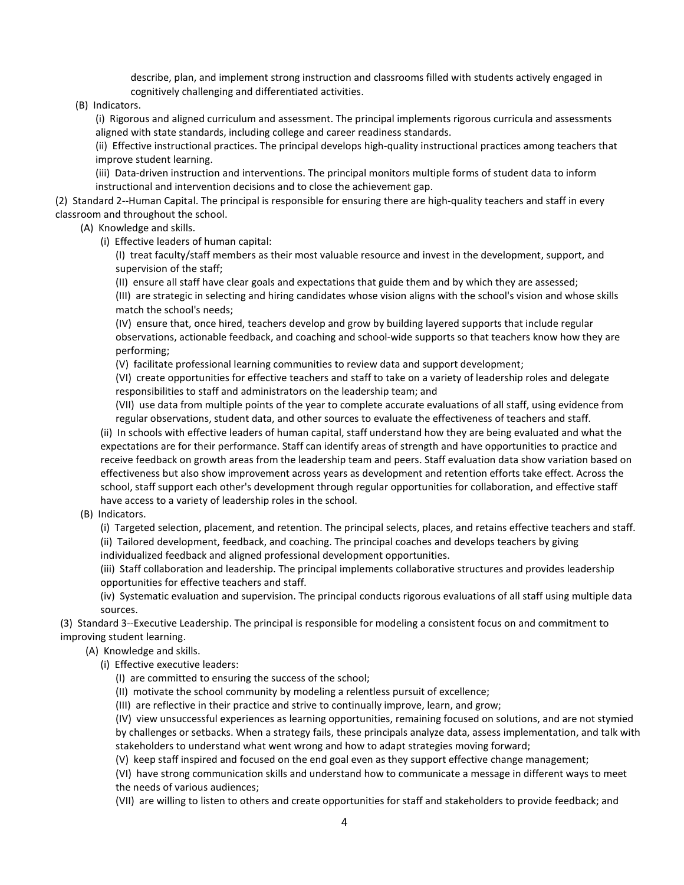describe, plan, and implement strong instruction and classrooms filled with students actively engaged in cognitively challenging and differentiated activities.

(B) Indicators.

(i) Rigorous and aligned curriculum and assessment. The principal implements rigorous curricula and assessments aligned with state standards, including college and career readiness standards.

(ii) Effective instructional practices. The principal develops high-quality instructional practices among teachers that improve student learning.

(iii) Data-driven instruction and interventions. The principal monitors multiple forms of student data to inform instructional and intervention decisions and to close the achievement gap.

(2) Standard 2--Human Capital. The principal is responsible for ensuring there are high-quality teachers and staff in every classroom and throughout the school.

(A) Knowledge and skills.

(i) Effective leaders of human capital:

(I) treat faculty/staff members as their most valuable resource and invest in the development, support, and supervision of the staff;

(II) ensure all staff have clear goals and expectations that guide them and by which they are assessed;

(III) are strategic in selecting and hiring candidates whose vision aligns with the school's vision and whose skills match the school's needs;

(IV) ensure that, once hired, teachers develop and grow by building layered supports that include regular observations, actionable feedback, and coaching and school-wide supports so that teachers know how they are performing;

(V) facilitate professional learning communities to review data and support development;

(VI) create opportunities for effective teachers and staff to take on a variety of leadership roles and delegate responsibilities to staff and administrators on the leadership team; and

(VII) use data from multiple points of the year to complete accurate evaluations of all staff, using evidence from regular observations, student data, and other sources to evaluate the effectiveness of teachers and staff.

- (ii) In schools with effective leaders of human capital, staff understand how they are being evaluated and what the expectations are for their performance. Staff can identify areas of strength and have opportunities to practice and receive feedback on growth areas from the leadership team and peers. Staff evaluation data show variation based on effectiveness but also show improvement across years as development and retention efforts take effect. Across the school, staff support each other's development through regular opportunities for collaboration, and effective staff have access to a variety of leadership roles in the school.
- (B) Indicators.

(i) Targeted selection, placement, and retention. The principal selects, places, and retains effective teachers and staff. (ii) Tailored development, feedback, and coaching. The principal coaches and develops teachers by giving

individualized feedback and aligned professional development opportunities.

(iii) Staff collaboration and leadership. The principal implements collaborative structures and provides leadership opportunities for effective teachers and staff.

(iv) Systematic evaluation and supervision. The principal conducts rigorous evaluations of all staff using multiple data sources.

(3) Standard 3--Executive Leadership. The principal is responsible for modeling a consistent focus on and commitment to improving student learning.

- (A) Knowledge and skills.
	- (i) Effective executive leaders:
		- (I) are committed to ensuring the success of the school;
		- (II) motivate the school community by modeling a relentless pursuit of excellence;
		- (III) are reflective in their practice and strive to continually improve, learn, and grow;

(IV) view unsuccessful experiences as learning opportunities, remaining focused on solutions, and are not stymied by challenges or setbacks. When a strategy fails, these principals analyze data, assess implementation, and talk with stakeholders to understand what went wrong and how to adapt strategies moving forward;

(V) keep staff inspired and focused on the end goal even as they support effective change management;

(VI) have strong communication skills and understand how to communicate a message in different ways to meet the needs of various audiences;

(VII) are willing to listen to others and create opportunities for staff and stakeholders to provide feedback; and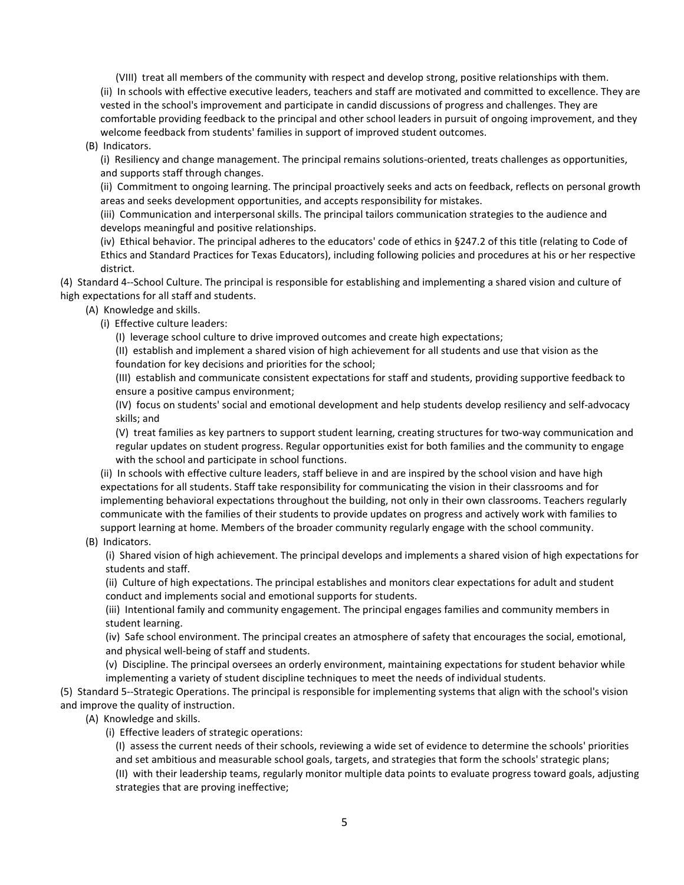(VIII) treat all members of the community with respect and develop strong, positive relationships with them. (ii) In schools with effective executive leaders, teachers and staff are motivated and committed to excellence. They are vested in the school's improvement and participate in candid discussions of progress and challenges. They are comfortable providing feedback to the principal and other school leaders in pursuit of ongoing improvement, and they welcome feedback from students' families in support of improved student outcomes.

(B) Indicators.

(i) Resiliency and change management. The principal remains solutions-oriented, treats challenges as opportunities, and supports staff through changes.

(ii) Commitment to ongoing learning. The principal proactively seeks and acts on feedback, reflects on personal growth areas and seeks development opportunities, and accepts responsibility for mistakes.

(iii) Communication and interpersonal skills. The principal tailors communication strategies to the audience and develops meaningful and positive relationships.

(iv) Ethical behavior. The principal adheres to the educators' code of ethics in §247.2 of this title (relating to Code of Ethics and Standard Practices for Texas Educators), including following policies and procedures at his or her respective district.

(4) Standard 4--School Culture. The principal is responsible for establishing and implementing a shared vision and culture of high expectations for all staff and students.

(A) Knowledge and skills.

(i) Effective culture leaders:

(I) leverage school culture to drive improved outcomes and create high expectations;

(II) establish and implement a shared vision of high achievement for all students and use that vision as the foundation for key decisions and priorities for the school;

(III) establish and communicate consistent expectations for staff and students, providing supportive feedback to ensure a positive campus environment;

(IV) focus on students' social and emotional development and help students develop resiliency and self-advocacy skills; and

(V) treat families as key partners to support student learning, creating structures for two-way communication and regular updates on student progress. Regular opportunities exist for both families and the community to engage with the school and participate in school functions.

(ii) In schools with effective culture leaders, staff believe in and are inspired by the school vision and have high expectations for all students. Staff take responsibility for communicating the vision in their classrooms and for implementing behavioral expectations throughout the building, not only in their own classrooms. Teachers regularly communicate with the families of their students to provide updates on progress and actively work with families to support learning at home. Members of the broader community regularly engage with the school community.

#### (B) Indicators.

(i) Shared vision of high achievement. The principal develops and implements a shared vision of high expectations for students and staff.

(ii) Culture of high expectations. The principal establishes and monitors clear expectations for adult and student conduct and implements social and emotional supports for students.

(iii) Intentional family and community engagement. The principal engages families and community members in student learning.

(iv) Safe school environment. The principal creates an atmosphere of safety that encourages the social, emotional, and physical well-being of staff and students.

(v) Discipline. The principal oversees an orderly environment, maintaining expectations for student behavior while implementing a variety of student discipline techniques to meet the needs of individual students.

(5) Standard 5--Strategic Operations. The principal is responsible for implementing systems that align with the school's vision and improve the quality of instruction.

(A) Knowledge and skills.

(i) Effective leaders of strategic operations:

(I) assess the current needs of their schools, reviewing a wide set of evidence to determine the schools' priorities and set ambitious and measurable school goals, targets, and strategies that form the schools' strategic plans;

(II) with their leadership teams, regularly monitor multiple data points to evaluate progress toward goals, adjusting strategies that are proving ineffective;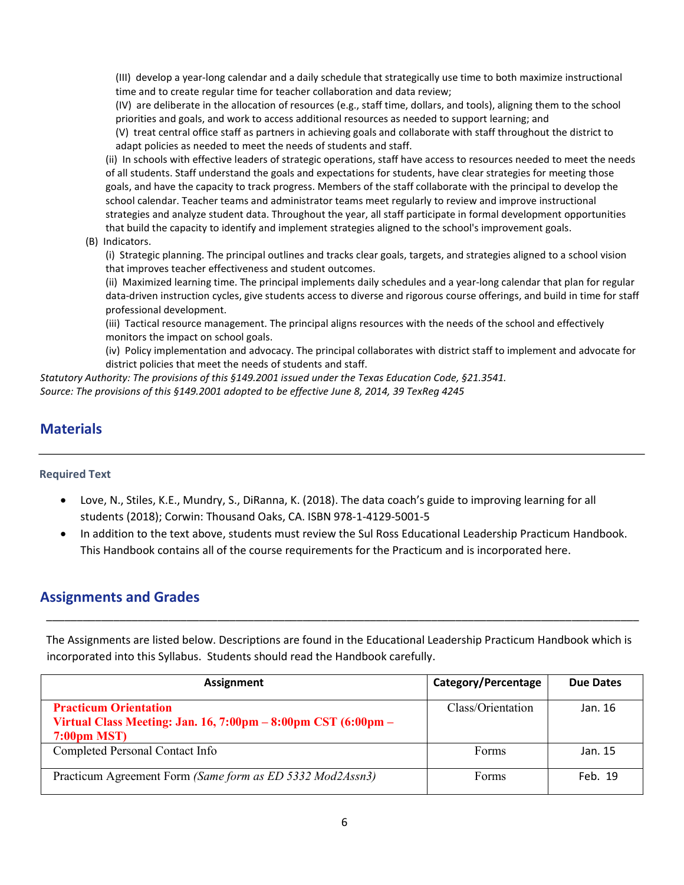(III) develop a year-long calendar and a daily schedule that strategically use time to both maximize instructional time and to create regular time for teacher collaboration and data review;

(IV) are deliberate in the allocation of resources (e.g., staff time, dollars, and tools), aligning them to the school priorities and goals, and work to access additional resources as needed to support learning; and

(V) treat central office staff as partners in achieving goals and collaborate with staff throughout the district to adapt policies as needed to meet the needs of students and staff.

(ii) In schools with effective leaders of strategic operations, staff have access to resources needed to meet the needs of all students. Staff understand the goals and expectations for students, have clear strategies for meeting those goals, and have the capacity to track progress. Members of the staff collaborate with the principal to develop the school calendar. Teacher teams and administrator teams meet regularly to review and improve instructional strategies and analyze student data. Throughout the year, all staff participate in formal development opportunities that build the capacity to identify and implement strategies aligned to the school's improvement goals.

#### (B) Indicators.

(i) Strategic planning. The principal outlines and tracks clear goals, targets, and strategies aligned to a school vision that improves teacher effectiveness and student outcomes.

(ii) Maximized learning time. The principal implements daily schedules and a year-long calendar that plan for regular data-driven instruction cycles, give students access to diverse and rigorous course offerings, and build in time for staff professional development.

(iii) Tactical resource management. The principal aligns resources with the needs of the school and effectively monitors the impact on school goals.

(iv) Policy implementation and advocacy. The principal collaborates with district staff to implement and advocate for district policies that meet the needs of students and staff.

Statutory Authority: The provisions of this §149.2001 issued under the Texas Education Code, §21.3541. Source: The provisions of this §149.2001 adopted to be effective June 8, 2014, 39 TexReg 4245

### **Materials**

#### Required Text

- Love, N., Stiles, K.E., Mundry, S., DiRanna, K. (2018). The data coach's guide to improving learning for all students (2018); Corwin: Thousand Oaks, CA. ISBN 978-1-4129-5001-5
- In addition to the text above, students must review the Sul Ross Educational Leadership Practicum Handbook. This Handbook contains all of the course requirements for the Practicum and is incorporated here.

### Assignments and Grades

The Assignments are listed below. Descriptions are found in the Educational Leadership Practicum Handbook which is incorporated into this Syllabus. Students should read the Handbook carefully.

\_\_\_\_\_\_\_\_\_\_\_\_\_\_\_\_\_\_\_\_\_\_\_\_\_\_\_\_\_\_\_\_\_\_\_\_\_\_\_\_\_\_\_\_\_\_\_\_\_\_\_\_\_\_\_\_\_\_\_\_\_\_\_\_\_\_\_\_\_\_\_\_\_\_\_\_\_\_\_\_\_\_\_\_\_\_\_\_\_\_\_\_\_\_\_\_\_

| <b>Assignment</b>                                                                                                  | Category/Percentage | <b>Due Dates</b> |
|--------------------------------------------------------------------------------------------------------------------|---------------------|------------------|
| <b>Practicum Orientation</b><br>Virtual Class Meeting: Jan. 16, 7:00pm $-$ 8:00pm CST (6:00pm $-$<br>$7:00pm$ MST) | Class/Orientation   | Jan. 16          |
| Completed Personal Contact Info                                                                                    | <b>Forms</b>        | Jan. 15          |
| Practicum Agreement Form (Same form as ED 5332 Mod2Assn3)                                                          | Forms               | Feb. 19          |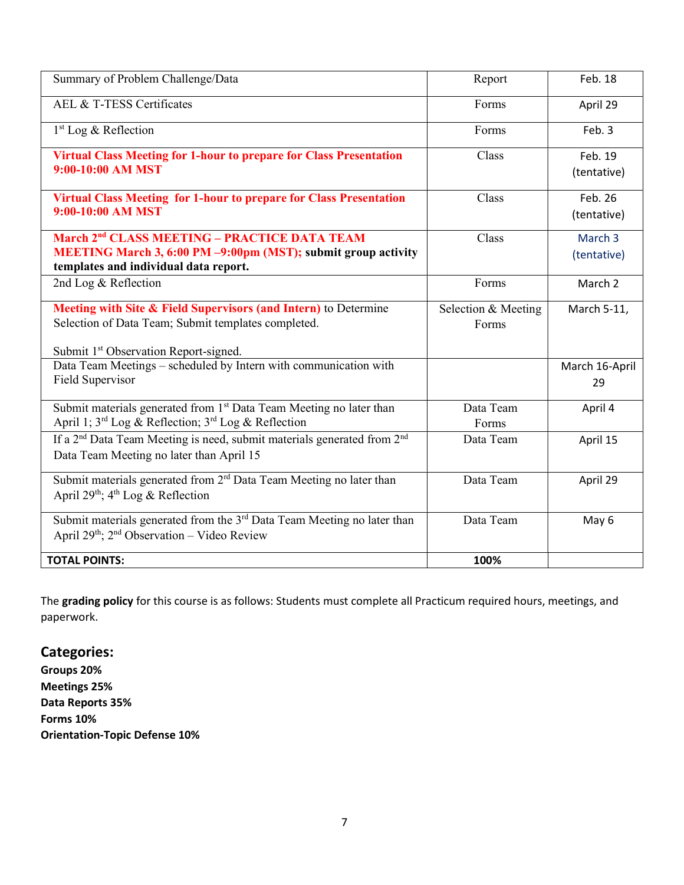| Summary of Problem Challenge/Data                                                                                                                                           | Report                       | Feb. 18                           |
|-----------------------------------------------------------------------------------------------------------------------------------------------------------------------------|------------------------------|-----------------------------------|
| AEL & T-TESS Certificates                                                                                                                                                   | Forms                        | April 29                          |
| 1 <sup>st</sup> Log & Reflection                                                                                                                                            | Forms                        | Feb. 3                            |
| <b>Virtual Class Meeting for 1-hour to prepare for Class Presentation</b><br>9:00-10:00 AM MST                                                                              | Class                        | Feb. 19<br>(tentative)            |
| <b>Virtual Class Meeting for 1-hour to prepare for Class Presentation</b><br>9:00-10:00 AM MST                                                                              | Class                        | Feb. 26<br>(tentative)            |
| March 2 <sup>nd</sup> CLASS MEETING - PRACTICE DATA TEAM<br>MEETING March 3, 6:00 PM -9:00pm (MST); submit group activity<br>templates and individual data report.          | Class                        | March <sub>3</sub><br>(tentative) |
| 2nd Log & Reflection                                                                                                                                                        | Forms                        | March 2                           |
| Meeting with Site & Field Supervisors (and Intern) to Determine<br>Selection of Data Team; Submit templates completed.<br>Submit 1 <sup>st</sup> Observation Report-signed. | Selection & Meeting<br>Forms | March 5-11,                       |
| Data Team Meetings - scheduled by Intern with communication with<br>Field Supervisor                                                                                        |                              | March 16-April<br>29              |
| Submit materials generated from 1 <sup>st</sup> Data Team Meeting no later than<br>April 1; 3rd Log & Reflection; 3rd Log & Reflection                                      | Data Team<br>Forms           | April 4                           |
| If a 2 <sup>nd</sup> Data Team Meeting is need, submit materials generated from 2 <sup>nd</sup><br>Data Team Meeting no later than April 15                                 | Data Team                    | April 15                          |
| Submit materials generated from 2 <sup>rd</sup> Data Team Meeting no later than<br>April 29 <sup>th</sup> ; 4 <sup>th</sup> Log & Reflection                                | Data Team                    | April 29                          |
| Submit materials generated from the 3 <sup>rd</sup> Data Team Meeting no later than<br>April 29th; 2 <sup>nd</sup> Observation - Video Review                               | Data Team                    | May 6                             |
| <b>TOTAL POINTS:</b>                                                                                                                                                        | 100%                         |                                   |

The grading policy for this course is as follows: Students must complete all Practicum required hours, meetings, and paperwork.

## Categories:

Groups 20% Meetings 25% Data Reports 35% Forms 10% Orientation-Topic Defense 10%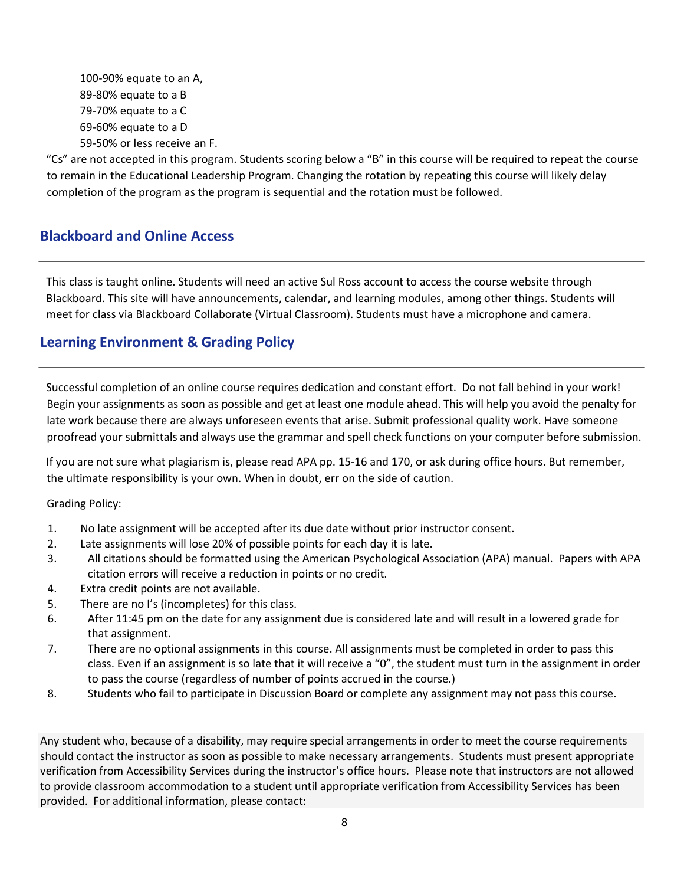100-90% equate to an A, 89-80% equate to a B 79-70% equate to a C 69-60% equate to a D 59-50% or less receive an F.

"Cs" are not accepted in this program. Students scoring below a "B" in this course will be required to repeat the course to remain in the Educational Leadership Program. Changing the rotation by repeating this course will likely delay completion of the program as the program is sequential and the rotation must be followed.

## Blackboard and Online Access

This class is taught online. Students will need an active Sul Ross account to access the course website through Blackboard. This site will have announcements, calendar, and learning modules, among other things. Students will meet for class via Blackboard Collaborate (Virtual Classroom). Students must have a microphone and camera.

## Learning Environment & Grading Policy

Successful completion of an online course requires dedication and constant effort. Do not fall behind in your work! Begin your assignments as soon as possible and get at least one module ahead. This will help you avoid the penalty for late work because there are always unforeseen events that arise. Submit professional quality work. Have someone proofread your submittals and always use the grammar and spell check functions on your computer before submission.

If you are not sure what plagiarism is, please read APA pp. 15-16 and 170, or ask during office hours. But remember, the ultimate responsibility is your own. When in doubt, err on the side of caution.

### Grading Policy:

- 1. No late assignment will be accepted after its due date without prior instructor consent.
- 2. Late assignments will lose 20% of possible points for each day it is late.
- 3. All citations should be formatted using the American Psychological Association (APA) manual. Papers with APA citation errors will receive a reduction in points or no credit.
- 4. Extra credit points are not available.
- 5. There are no I's (incompletes) for this class.
- 6. After 11:45 pm on the date for any assignment due is considered late and will result in a lowered grade for that assignment.
- 7. There are no optional assignments in this course. All assignments must be completed in order to pass this class. Even if an assignment is so late that it will receive a "0", the student must turn in the assignment in order to pass the course (regardless of number of points accrued in the course.)
- 8. Students who fail to participate in Discussion Board or complete any assignment may not pass this course.

Any student who, because of a disability, may require special arrangements in order to meet the course requirements should contact the instructor as soon as possible to make necessary arrangements. Students must present appropriate verification from Accessibility Services during the instructor's office hours. Please note that instructors are not allowed to provide classroom accommodation to a student until appropriate verification from Accessibility Services has been provided. For additional information, please contact: